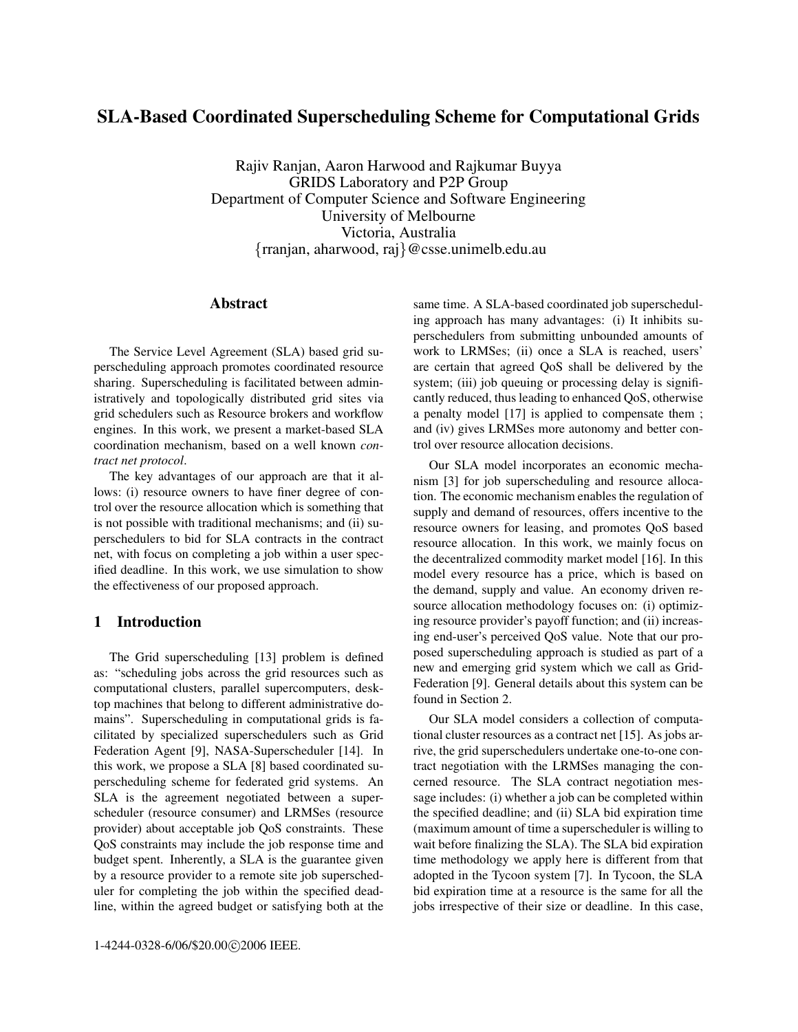# **SLA-Based Coordinated Superscheduling Scheme for Computational Grids**

Rajiv Ranjan, Aaron Harwood and Rajkumar Buyya GRIDS Laboratory and P2P Group Department of Computer Science and Software Engineering University of Melbourne Victoria, Australia {rranjan, aharwood, raj}@csse.unimelb.edu.au

# **Abstract**

The Service Level Agreement (SLA) based grid superscheduling approach promotes coordinated resource sharing. Superscheduling is facilitated between administratively and topologically distributed grid sites via grid schedulers such as Resource brokers and workflow engines. In this work, we present a market-based SLA coordination mechanism, based on a well known *contract net protocol*.

The key advantages of our approach are that it allows: (i) resource owners to have finer degree of control over the resource allocation which is something that is not possible with traditional mechanisms; and (ii) superschedulers to bid for SLA contracts in the contract net, with focus on completing a job within a user specified deadline. In this work, we use simulation to show the effectiveness of our proposed approach.

#### **1 Introduction**

The Grid superscheduling [13] problem is defined as: "scheduling jobs across the grid resources such as computational clusters, parallel supercomputers, desktop machines that belong to different administrative domains". Superscheduling in computational grids is facilitated by specialized superschedulers such as Grid Federation Agent [9], NASA-Superscheduler [14]. In this work, we propose a SLA [8] based coordinated superscheduling scheme for federated grid systems. An SLA is the agreement negotiated between a superscheduler (resource consumer) and LRMSes (resource provider) about acceptable job QoS constraints. These QoS constraints may include the job response time and budget spent. Inherently, a SLA is the guarantee given by a resource provider to a remote site job superscheduler for completing the job within the specified deadline, within the agreed budget or satisfying both at the same time. A SLA-based coordinated job superscheduling approach has many advantages: (i) It inhibits superschedulers from submitting unbounded amounts of work to LRMSes; (ii) once a SLA is reached, users' are certain that agreed QoS shall be delivered by the system; (iii) job queuing or processing delay is significantly reduced, thus leading to enhanced QoS, otherwise a penalty model [17] is applied to compensate them ; and (iv) gives LRMSes more autonomy and better control over resource allocation decisions.

Our SLA model incorporates an economic mechanism [3] for job superscheduling and resource allocation. The economic mechanism enables the regulation of supply and demand of resources, offers incentive to the resource owners for leasing, and promotes QoS based resource allocation. In this work, we mainly focus on the decentralized commodity market model [16]. In this model every resource has a price, which is based on the demand, supply and value. An economy driven resource allocation methodology focuses on: (i) optimizing resource provider's payoff function; and (ii) increasing end-user's perceived QoS value. Note that our proposed superscheduling approach is studied as part of a new and emerging grid system which we call as Grid-Federation [9]. General details about this system can be found in Section 2.

Our SLA model considers a collection of computational cluster resources as a contract net [15]. As jobs arrive, the grid superschedulers undertake one-to-one contract negotiation with the LRMSes managing the concerned resource. The SLA contract negotiation message includes: (i) whether a job can be completed within the specified deadline; and (ii) SLA bid expiration time (maximum amount of time a superscheduler is willing to wait before finalizing the SLA). The SLA bid expiration time methodology we apply here is different from that adopted in the Tycoon system [7]. In Tycoon, the SLA bid expiration time at a resource is the same for all the jobs irrespective of their size or deadline. In this case,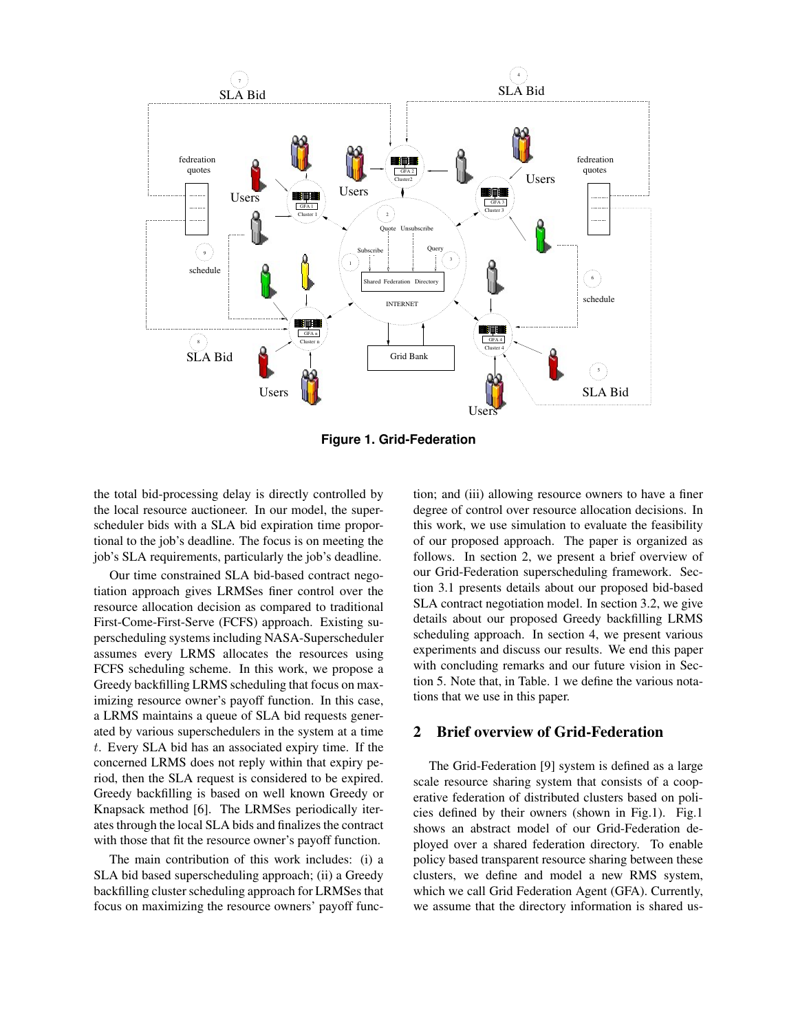

**Figure 1. Grid-Federation**

the total bid-processing delay is directly controlled by the local resource auctioneer. In our model, the superscheduler bids with a SLA bid expiration time proportional to the job's deadline. The focus is on meeting the job's SLA requirements, particularly the job's deadline.

Our time constrained SLA bid-based contract negotiation approach gives LRMSes finer control over the resource allocation decision as compared to traditional First-Come-First-Serve (FCFS) approach. Existing superscheduling systems including NASA-Superscheduler assumes every LRMS allocates the resources using FCFS scheduling scheme. In this work, we propose a Greedy backfilling LRMS scheduling that focus on maximizing resource owner's payoff function. In this case, a LRMS maintains a queue of SLA bid requests generated by various superschedulers in the system at a time t. Every SLA bid has an associated expiry time. If the concerned LRMS does not reply within that expiry period, then the SLA request is considered to be expired. Greedy backfilling is based on well known Greedy or Knapsack method [6]. The LRMSes periodically iterates through the local SLA bids and finalizes the contract with those that fit the resource owner's payoff function.

The main contribution of this work includes: (i) a SLA bid based superscheduling approach; (ii) a Greedy backfilling cluster scheduling approach for LRMSes that focus on maximizing the resource owners' payoff function; and (iii) allowing resource owners to have a finer degree of control over resource allocation decisions. In this work, we use simulation to evaluate the feasibility of our proposed approach. The paper is organized as follows. In section 2, we present a brief overview of our Grid-Federation superscheduling framework. Section 3.1 presents details about our proposed bid-based SLA contract negotiation model. In section 3.2, we give details about our proposed Greedy backfilling LRMS scheduling approach. In section 4, we present various experiments and discuss our results. We end this paper with concluding remarks and our future vision in Section 5. Note that, in Table. 1 we define the various notations that we use in this paper.

# **2 Brief overview of Grid-Federation**

The Grid-Federation [9] system is defined as a large scale resource sharing system that consists of a cooperative federation of distributed clusters based on policies defined by their owners (shown in Fig.1). Fig.1 shows an abstract model of our Grid-Federation deployed over a shared federation directory. To enable policy based transparent resource sharing between these clusters, we define and model a new RMS system, which we call Grid Federation Agent (GFA). Currently, we assume that the directory information is shared us-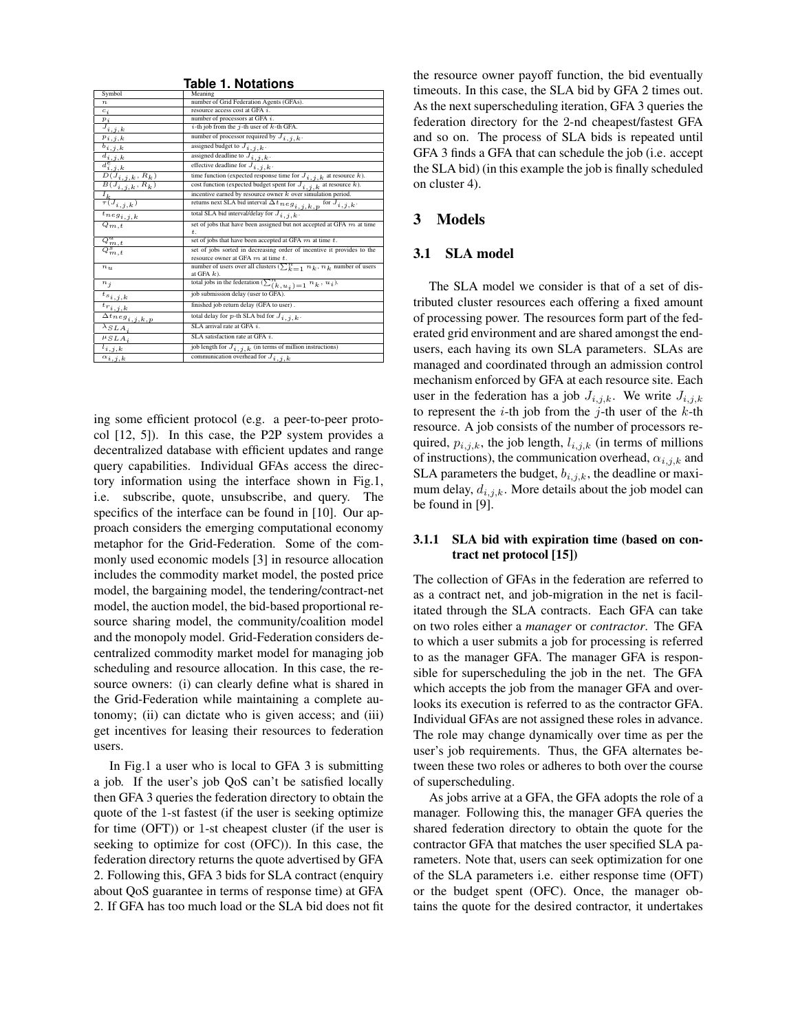|                                                                                                                                                                    | rable T. Notations                                                            |  |  |  |  |  |
|--------------------------------------------------------------------------------------------------------------------------------------------------------------------|-------------------------------------------------------------------------------|--|--|--|--|--|
| Symbol                                                                                                                                                             | Meaning                                                                       |  |  |  |  |  |
| $\boldsymbol{n}$                                                                                                                                                   | number of Grid Federation Agents (GFAs).                                      |  |  |  |  |  |
| $c_i$                                                                                                                                                              | resource access cost at GFA i.                                                |  |  |  |  |  |
| $p_i$                                                                                                                                                              | number of processors at GFA $i$ .                                             |  |  |  |  |  |
| $J_{i,j,k}$                                                                                                                                                        | i-th job from the j-th user of $k$ -th GFA.                                   |  |  |  |  |  |
| $p_{i,j,k}$                                                                                                                                                        | number of processor required by $J_{i, j, k}$ .                               |  |  |  |  |  |
| $\overline{b_{i,j,k}}$                                                                                                                                             | assigned budget to $J_{i,j,k}$ .                                              |  |  |  |  |  |
| $\frac{d_{i,j,k}}{d^e}$                                                                                                                                            | assigned deadline to $J_{i,j,k}$ .                                            |  |  |  |  |  |
|                                                                                                                                                                    | effective deadline for $J_{i,j,k}$ .                                          |  |  |  |  |  |
|                                                                                                                                                                    | time function (expected response time for $J_{i,j,k}$ at resource k).         |  |  |  |  |  |
| $\frac{d_{i,j,k}^{c}}{D(J_{i,j,k}, R_k)}$<br>$\frac{B(J_{i,j,k}, R_k)}{B(J_{i,j,k}, R_k)}$<br>cost function (expected budget spent for $J_{i,j,k}$ at resource k). |                                                                               |  |  |  |  |  |
|                                                                                                                                                                    | incentive earned by resource owner $k$ over simulation period.                |  |  |  |  |  |
| $\frac{I_k}{\tau(J_{i,\underline{j},k})}$                                                                                                                          | returns next SLA bid interval $\Delta t_{neq g_{i,j,k,p}}$ for $J_{i,j,k}$ .  |  |  |  |  |  |
| $\overline{{}^t n e g_{i,j,k}}$                                                                                                                                    | total SLA bid interval/delay for $J_{i,j,k}$ .                                |  |  |  |  |  |
| $Q_{m,t}$                                                                                                                                                          | set of jobs that have been assigned but not accepted at GFA $m$ at time       |  |  |  |  |  |
|                                                                                                                                                                    | t.                                                                            |  |  |  |  |  |
|                                                                                                                                                                    | set of jobs that have been accepted at GFA $m$ at time $t$ .                  |  |  |  |  |  |
| $\frac{Q_{m,t}^a}{Q_{m,t}^s}$                                                                                                                                      | set of jobs sorted in decreasing order of incentive it provides to the        |  |  |  |  |  |
|                                                                                                                                                                    | resource owner at GFA $m$ at time $t$ .                                       |  |  |  |  |  |
| $n_{u}$                                                                                                                                                            | number of users over all clusters $(\sum_{k=1}^{n} n_k, n_k)$ number of users |  |  |  |  |  |
|                                                                                                                                                                    | at GFA $k$ ).                                                                 |  |  |  |  |  |
| $n_i$                                                                                                                                                              | total jobs in the federation $(\sum_{k}^{n} u_i) = 1, n_k, u_i)$ .            |  |  |  |  |  |
| $t_{s_{i,j,k}}$                                                                                                                                                    | job submission delay (user to GFA)                                            |  |  |  |  |  |
| $t_{r_{i,j,k}}$                                                                                                                                                    | finished job return delay (GFA to user).                                      |  |  |  |  |  |
| $\Delta t_{neg_{i,j,k,p}}$                                                                                                                                         | total delay for $p$ -th SLA bid for $J_{i,j,k}$ .                             |  |  |  |  |  |
| $\overline{\lambda_{S}}$ <i>LA</i> <sub>i</sub>                                                                                                                    | SLA arrival rate at GFA i.                                                    |  |  |  |  |  |
| $\mu_{SLA_i}$                                                                                                                                                      | SLA satisfaction rate at GFA i.                                               |  |  |  |  |  |
| $l_{i,j,k}$                                                                                                                                                        | job length for $\overline{J_{i,j,k}}$ (in terms of million instructions)      |  |  |  |  |  |
| $\alpha_{i,j,k}$                                                                                                                                                   | communication overhead for $\overline{J}_{i, j, k}$                           |  |  |  |  |  |

**Table 1. Notations**

ing some efficient protocol (e.g. a peer-to-peer protocol [12, 5]). In this case, the P2P system provides a decentralized database with efficient updates and range query capabilities. Individual GFAs access the directory information using the interface shown in Fig.1, i.e. subscribe, quote, unsubscribe, and query. The specifics of the interface can be found in [10]. Our approach considers the emerging computational economy metaphor for the Grid-Federation. Some of the commonly used economic models [3] in resource allocation includes the commodity market model, the posted price model, the bargaining model, the tendering/contract-net model, the auction model, the bid-based proportional resource sharing model, the community/coalition model and the monopoly model. Grid-Federation considers decentralized commodity market model for managing job scheduling and resource allocation. In this case, the resource owners: (i) can clearly define what is shared in the Grid-Federation while maintaining a complete autonomy; (ii) can dictate who is given access; and (iii) get incentives for leasing their resources to federation users.

In Fig.1 a user who is local to GFA 3 is submitting a job. If the user's job QoS can't be satisfied locally then GFA 3 queries the federation directory to obtain the quote of the 1-st fastest (if the user is seeking optimize for time (OFT)) or 1-st cheapest cluster (if the user is seeking to optimize for cost (OFC)). In this case, the federation directory returns the quote advertised by GFA 2. Following this, GFA 3 bids for SLA contract (enquiry about QoS guarantee in terms of response time) at GFA 2. If GFA has too much load or the SLA bid does not fit

the resource owner payoff function, the bid eventually timeouts. In this case, the SLA bid by GFA 2 times out. As the next superscheduling iteration, GFA 3 queries the federation directory for the 2-nd cheapest/fastest GFA and so on. The process of SLA bids is repeated until GFA 3 finds a GFA that can schedule the job (i.e. accept the SLA bid) (in this example the job is finally scheduled on cluster 4).

### **3 Models**

#### **3.1 SLA model**

The SLA model we consider is that of a set of distributed cluster resources each offering a fixed amount of processing power. The resources form part of the federated grid environment and are shared amongst the endusers, each having its own SLA parameters. SLAs are managed and coordinated through an admission control mechanism enforced by GFA at each resource site. Each user in the federation has a job  $J_{i,j,k}$ . We write  $J_{i,j,k}$ to represent the  $i$ -th job from the  $j$ -th user of the  $k$ -th resource. A job consists of the number of processors required,  $p_{i,j,k}$ , the job length,  $l_{i,j,k}$  (in terms of millions of instructions), the communication overhead,  $\alpha_{i,j,k}$  and SLA parameters the budget,  $b_{i,j,k}$ , the deadline or maximum delay,  $d_{i,j,k}$ . More details about the job model can be found in [9].

#### **3.1.1 SLA bid with expiration time (based on contract net protocol [15])**

The collection of GFAs in the federation are referred to as a contract net, and job-migration in the net is facilitated through the SLA contracts. Each GFA can take on two roles either a *manager* or *contractor*. The GFA to which a user submits a job for processing is referred to as the manager GFA. The manager GFA is responsible for superscheduling the job in the net. The GFA which accepts the job from the manager GFA and overlooks its execution is referred to as the contractor GFA. Individual GFAs are not assigned these roles in advance. The role may change dynamically over time as per the user's job requirements. Thus, the GFA alternates between these two roles or adheres to both over the course of superscheduling.

As jobs arrive at a GFA, the GFA adopts the role of a manager. Following this, the manager GFA queries the shared federation directory to obtain the quote for the contractor GFA that matches the user specified SLA parameters. Note that, users can seek optimization for one of the SLA parameters i.e. either response time (OFT) or the budget spent (OFC). Once, the manager obtains the quote for the desired contractor, it undertakes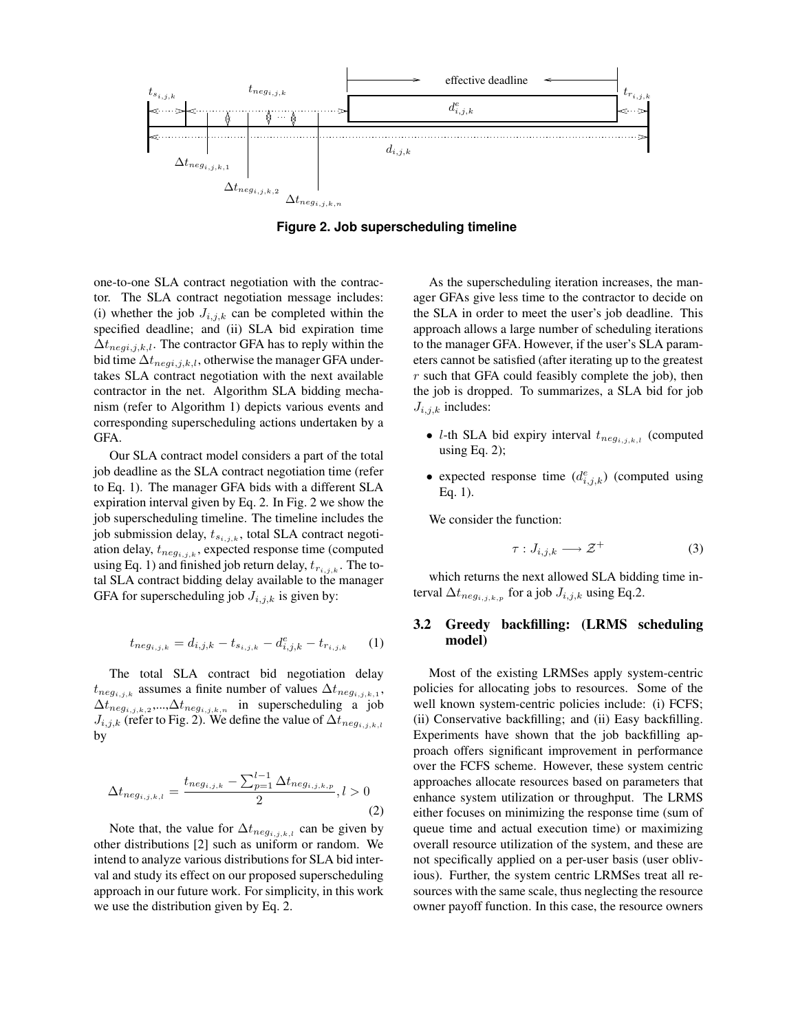

**Figure 2. Job superscheduling timeline**

one-to-one SLA contract negotiation with the contractor. The SLA contract negotiation message includes: (i) whether the job  $J_{i,j,k}$  can be completed within the specified deadline; and (ii) SLA bid expiration time  $\Delta t_{negi,j,k,l}$ . The contractor GFA has to reply within the bid time  $\Delta t_{negi,j,k,l}$ , otherwise the manager GFA undertakes SLA contract negotiation with the next available contractor in the net. Algorithm SLA bidding mechanism (refer to Algorithm 1) depicts various events and corresponding superscheduling actions undertaken by a GFA.

Our SLA contract model considers a part of the total job deadline as the SLA contract negotiation time (refer to Eq. 1). The manager GFA bids with a different SLA expiration interval given by Eq. 2. In Fig. 2 we show the job superscheduling timeline. The timeline includes the job submission delay,  $t_{s_{i,j,k}}$ , total SLA contract negotiation delay,  $t_{neg_{i,j,k}}$ , expected response time (computed using Eq. 1) and finished job return delay,  $t_{r_{i,j,k}}$ . The total SLA contract bidding delay available to the manager GFA for superscheduling job  $J_{i,j,k}$  is given by:

$$
t_{neg_{i,j,k}} = d_{i,j,k} - t_{s_{i,j,k}} - d_{i,j,k}^e - t_{r_{i,j,k}} \t (1)
$$

The total SLA contract bid negotiation delay  $t_{neg_{i,j,k}}$  assumes a finite number of values  $\Delta t_{neg_{i,j,k,1}},$  $\Delta t_{neg_{i,j,k,2}},...,\Delta t_{neg_{i,j,k,n}}$  in superscheduling a job  $J_{i,j,k}$  (refer to Fig. 2). We define the value of  $\Delta t_{neg_{i,j,k,l}}$ by

$$
\Delta t_{neg_{i,j,k,l}} = \frac{t_{neg_{i,j,k}} - \sum_{p=1}^{l-1} \Delta t_{neg_{i,j,k,p}}}{2}, l > 0
$$
\n(2)

Note that, the value for  $\Delta t_{neg_{i,j,k,l}}$  can be given by other distributions [2] such as uniform or random. We intend to analyze various distributions for SLA bid interval and study its effect on our proposed superscheduling approach in our future work. For simplicity, in this work we use the distribution given by Eq. 2.

As the superscheduling iteration increases, the manager GFAs give less time to the contractor to decide on the SLA in order to meet the user's job deadline. This approach allows a large number of scheduling iterations to the manager GFA. However, if the user's SLA parameters cannot be satisfied (after iterating up to the greatest  $r$  such that GFA could feasibly complete the job), then the job is dropped. To summarizes, a SLA bid for job  $J_{i,j,k}$  includes:

- *l*-th SLA bid expiry interval  $t_{neg_{i,j,k,l}}$  (computed using Eq.  $2$ );
- expected response time  $(d_{i,j,k}^e)$  (computed using Eq. 1).

We consider the function:

$$
\tau: J_{i,j,k} \longrightarrow \mathcal{Z}^+ \tag{3}
$$

which returns the next allowed SLA bidding time interval  $\Delta t_{neg_{i,j,k,p}}$  for a job  $J_{i,j,k}$  using Eq.2.

### **3.2 Greedy backfilling: (LRMS scheduling model)**

Most of the existing LRMSes apply system-centric policies for allocating jobs to resources. Some of the well known system-centric policies include: (i) FCFS; (ii) Conservative backfilling; and (ii) Easy backfilling. Experiments have shown that the job backfilling approach offers significant improvement in performance over the FCFS scheme. However, these system centric approaches allocate resources based on parameters that enhance system utilization or throughput. The LRMS either focuses on minimizing the response time (sum of queue time and actual execution time) or maximizing overall resource utilization of the system, and these are not specifically applied on a per-user basis (user oblivious). Further, the system centric LRMSes treat all resources with the same scale, thus neglecting the resource owner payoff function. In this case, the resource owners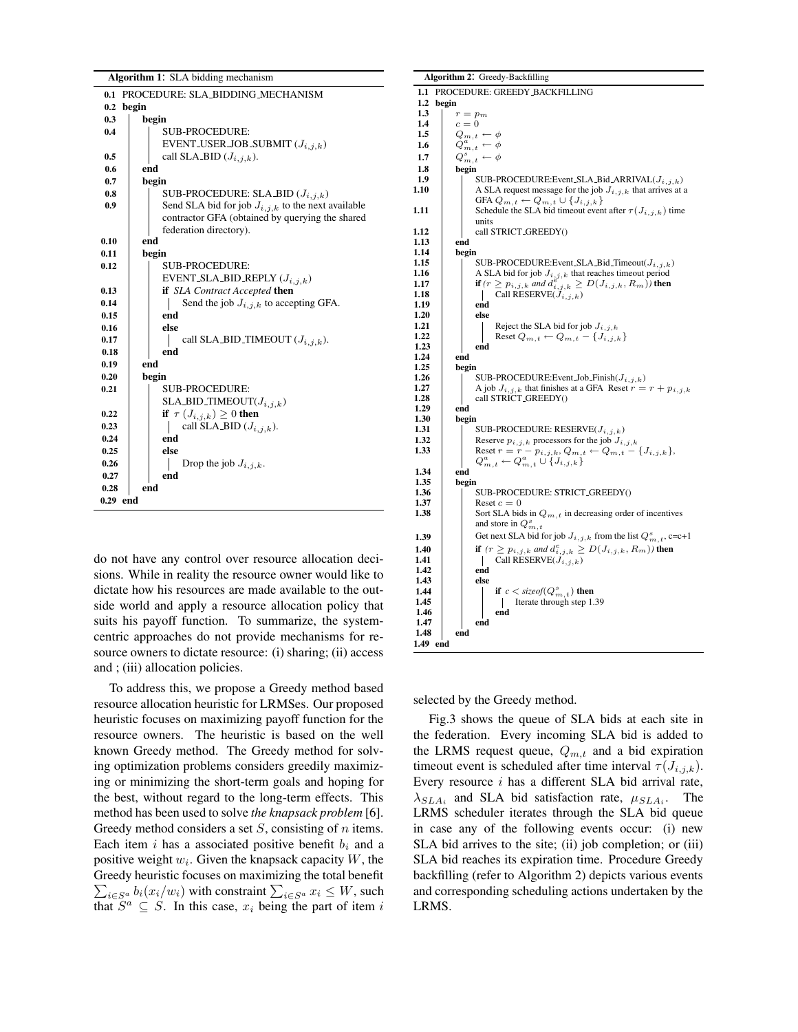| Algorithm 1: SLA bidding mechanism      |                                                        |  |  |  |  |  |
|-----------------------------------------|--------------------------------------------------------|--|--|--|--|--|
| PROCEDURE: SLA BIDDING MECHANISM<br>0.1 |                                                        |  |  |  |  |  |
| begin<br>0.2                            |                                                        |  |  |  |  |  |
| 0.3                                     | begin                                                  |  |  |  |  |  |
| 0.4                                     | <b>SUB-PROCEDURE:</b>                                  |  |  |  |  |  |
|                                         | EVENT USER JOB SUBMIT $(J_{i,j,k})$                    |  |  |  |  |  |
| 0.5                                     | call SLA_BID $(J_{i,j,k})$ .                           |  |  |  |  |  |
| 0.6                                     | end                                                    |  |  |  |  |  |
| 0.7                                     | begin                                                  |  |  |  |  |  |
| 0.8                                     | SUB-PROCEDURE: SLA BID $(J_{i,j,k})$                   |  |  |  |  |  |
| 0.9                                     | Send SLA bid for job $J_{i,j,k}$ to the next available |  |  |  |  |  |
|                                         | contractor GFA (obtained by querying the shared        |  |  |  |  |  |
|                                         | federation directory).                                 |  |  |  |  |  |
| 0.10                                    | end                                                    |  |  |  |  |  |
| 0.11                                    | begin                                                  |  |  |  |  |  |
| 0.12                                    | <b>SUB-PROCEDURE:</b>                                  |  |  |  |  |  |
|                                         | EVENT SLA BID REPLY $(J_{i,j,k})$                      |  |  |  |  |  |
| 0.13                                    | if SLA Contract Accepted then                          |  |  |  |  |  |
| 0.14                                    | Send the job $J_{i,j,k}$ to accepting GFA.             |  |  |  |  |  |
| 0.15                                    | end                                                    |  |  |  |  |  |
| 0.16                                    | else                                                   |  |  |  |  |  |
| 0.17                                    | call SLA_BID_TIMEOUT $(J_{i,j,k})$ .                   |  |  |  |  |  |
| 0.18                                    | end                                                    |  |  |  |  |  |
| 0.19                                    | end                                                    |  |  |  |  |  |
| 0.20                                    | begin                                                  |  |  |  |  |  |
| 0.21                                    | SUB-PROCEDURE:                                         |  |  |  |  |  |
|                                         | SLA_BID_TIMEOUT $(J_{i,j,k})$                          |  |  |  |  |  |
| 0.22                                    | if $\tau (J_{i,j,k}) \geq 0$ then                      |  |  |  |  |  |
| 0.23                                    | call SLA BID $(J_{i,j,k})$ .                           |  |  |  |  |  |
| 0.24                                    | end                                                    |  |  |  |  |  |
| 0.25                                    | else                                                   |  |  |  |  |  |
| 0.26                                    | Drop the job $J_{i,j,k}$ .                             |  |  |  |  |  |
| 0.27                                    | end                                                    |  |  |  |  |  |
| end<br>0.28                             |                                                        |  |  |  |  |  |
| 0.29 end                                |                                                        |  |  |  |  |  |

do not have any control over resource allocation decisions. While in reality the resource owner would like to dictate how his resources are made available to the outside world and apply a resource allocation policy that suits his payoff function. To summarize, the systemcentric approaches do not provide mechanisms for resource owners to dictate resource: (i) sharing; (ii) access and ; (iii) allocation policies.

To address this, we propose a Greedy method based resource allocation heuristic for LRMSes. Our proposed heuristic focuses on maximizing payoff function for the resource owners. The heuristic is based on the well known Greedy method. The Greedy method for solving optimization problems considers greedily maximizing or minimizing the short-term goals and hoping for the best, without regard to the long-term effects. This method has been used to solve *the knapsack problem* [6]. Greedy method considers a set  $S$ , consisting of n items. Each item i has a associated positive benefit  $b_i$  and a positive weight  $w_i$ . Given the knapsack capacity  $W$ , the  $\sum_{i \in S^a} b_i(x_i/w_i)$  with constraint  $\sum_{i \in S^a} x_i \leq W$ , such Greedy heuristic focuses on maximizing the total benefit that  $S^a \subseteq S$ . In this case,  $x_i$  being the part of item i

|                  | Algorithm 2: Greedy-Backfilling |              |                                                                                      |  |  |  |  |  |  |
|------------------|---------------------------------|--------------|--------------------------------------------------------------------------------------|--|--|--|--|--|--|
| 1.1              | PROCEDURE: GREEDY BACKFILLING   |              |                                                                                      |  |  |  |  |  |  |
| $1.2\phantom{0}$ |                                 | begin        |                                                                                      |  |  |  |  |  |  |
| 1.3              |                                 | $r=p_m$      |                                                                                      |  |  |  |  |  |  |
| 1.4              |                                 | $c=0$        |                                                                                      |  |  |  |  |  |  |
| 1.5              |                                 |              | $Q_{m,t} \leftarrow \phi$                                                            |  |  |  |  |  |  |
| 1.6              |                                 |              | $Q_{m,t}^a \leftarrow \phi$                                                          |  |  |  |  |  |  |
| 1.7              |                                 |              | $Q_{m,t}^s \leftarrow \phi$                                                          |  |  |  |  |  |  |
| 1.8              |                                 | begin        |                                                                                      |  |  |  |  |  |  |
| 1.9              |                                 |              | SUB-PROCEDURE: Event SLA Bid ARRIVAL $(J_{i,j,k})$                                   |  |  |  |  |  |  |
| 1.10             |                                 |              | A SLA request message for the job $J_{i,j,k}$ that arrives at a                      |  |  |  |  |  |  |
|                  |                                 |              | GFA $Q_{m,t} \leftarrow Q_{m,t} \cup \{J_{i,j,k}\}\$                                 |  |  |  |  |  |  |
| 1.11             |                                 |              | Schedule the SLA bid timeout event after $\tau(J_{i,j,k})$ time                      |  |  |  |  |  |  |
| 1.12             |                                 |              | units<br>call STRICT_GREEDY()                                                        |  |  |  |  |  |  |
| 1.13             |                                 | end          |                                                                                      |  |  |  |  |  |  |
| 1.14             |                                 | begin        |                                                                                      |  |  |  |  |  |  |
| 1.15             |                                 |              | SUB-PROCEDURE: Event SLA Bid Timeout $(J_{i,j,k})$                                   |  |  |  |  |  |  |
| 1.16             |                                 |              | A SLA bid for job $J_{i,j,k}$ that reaches timeout period                            |  |  |  |  |  |  |
| 1.17             |                                 |              | <b>if</b> $(r \geq p_{i,j,k}$ and $d_{i,j,k}^e \geq D(J_{i,j,k}, R_m)$ ) then        |  |  |  |  |  |  |
| 1.18             |                                 |              | Call RESERVE( $J_{i,j,k}$ )                                                          |  |  |  |  |  |  |
| 1.19             |                                 |              | end                                                                                  |  |  |  |  |  |  |
| 1.20             |                                 |              | else                                                                                 |  |  |  |  |  |  |
| 1.21             |                                 |              | Reject the SLA bid for job $J_{i,j,k}$                                               |  |  |  |  |  |  |
| 1.22<br>1.23     |                                 |              | Reset $Q_{m,t} \leftarrow Q_{m,t} - \{J_{i,j,k}\}\$                                  |  |  |  |  |  |  |
| 1.24             |                                 | end          | end                                                                                  |  |  |  |  |  |  |
| 1.25             |                                 | begin        |                                                                                      |  |  |  |  |  |  |
| 1.26             |                                 |              | SUB-PROCEDURE: Event Job Finish $(J_{i,j,k})$                                        |  |  |  |  |  |  |
| 1.27             |                                 |              | A job $J_{i,j,k}$ that finishes at a GFA Reset $r = r + p_{i,j,k}$                   |  |  |  |  |  |  |
| 1.28             |                                 |              | call STRICT GREEDY()                                                                 |  |  |  |  |  |  |
| 1.29             |                                 | end          |                                                                                      |  |  |  |  |  |  |
| 1.30             |                                 | begin        |                                                                                      |  |  |  |  |  |  |
| 1.31             |                                 |              | SUB-PROCEDURE: RESERVE( $J_{i,j,k}$ )                                                |  |  |  |  |  |  |
| 1.32             |                                 |              | Reserve $p_{i,j,k}$ processors for the job $J_{i,j,k}$                               |  |  |  |  |  |  |
| 1.33             |                                 |              | Reset $r = r - p_{i,j,k}, Q_{m,t} \leftarrow Q_{m,t} - \{J_{i,j,k}\},$               |  |  |  |  |  |  |
| 1.34             |                                 |              | $Q_{m,t}^a \leftarrow Q_{m,t}^a \cup \{J_{i,j,k}\}\$                                 |  |  |  |  |  |  |
| 1.35             |                                 | end<br>begin |                                                                                      |  |  |  |  |  |  |
| 1.36             |                                 |              | SUB-PROCEDURE: STRICT_GREEDY()                                                       |  |  |  |  |  |  |
| 1.37             |                                 |              | Reset $c = 0$                                                                        |  |  |  |  |  |  |
| 1.38             |                                 |              | Sort SLA bids in $Q_{m,t}$ in decreasing order of incentives                         |  |  |  |  |  |  |
|                  |                                 |              | and store in $Q_{m,t}^s$                                                             |  |  |  |  |  |  |
| 1.39             |                                 |              | Get next SLA bid for job $J_{i,j,k}$ from the list $Q_{m,t}^s$ , c=c+1               |  |  |  |  |  |  |
| 1.40             |                                 |              | <b>if</b> $(r \geq p_{i,j,k}$ and $d_{i,j,k}^e \geq D(J_{i,j,k}, R_m)$ ) <b>then</b> |  |  |  |  |  |  |
| 1.41             |                                 |              | Call RESERVE( $J_{i,j,k}$ )<br>$\mathbf{I}$                                          |  |  |  |  |  |  |
| 1.42             |                                 |              | end                                                                                  |  |  |  |  |  |  |
| 1.43             |                                 |              | else                                                                                 |  |  |  |  |  |  |
| 1.44             |                                 |              | <b>if</b> $c <$ size of $(Q_{m,t}^s)$ then                                           |  |  |  |  |  |  |
| 1.45             |                                 |              | Iterate through step 1.39                                                            |  |  |  |  |  |  |
| 1.46             |                                 |              | end                                                                                  |  |  |  |  |  |  |
| 1.47<br>1.48     |                                 | end          | end                                                                                  |  |  |  |  |  |  |
| 1.49 end         |                                 |              |                                                                                      |  |  |  |  |  |  |
|                  |                                 |              |                                                                                      |  |  |  |  |  |  |

selected by the Greedy method.

Fig.3 shows the queue of SLA bids at each site in the federation. Every incoming SLA bid is added to the LRMS request queue,  $Q_{m,t}$  and a bid expiration timeout event is scheduled after time interval  $\tau(J_{i,j,k})$ . Every resource i has a different SLA bid arrival rate,  $\lambda_{SLA_i}$  and SLA bid satisfaction rate,  $\mu_{SLA_i}$ . The LRMS scheduler iterates through the SLA bid queue in case any of the following events occur: (i) new SLA bid arrives to the site; (ii) job completion; or (iii) SLA bid reaches its expiration time. Procedure Greedy backfilling (refer to Algorithm 2) depicts various events and corresponding scheduling actions undertaken by the LRMS.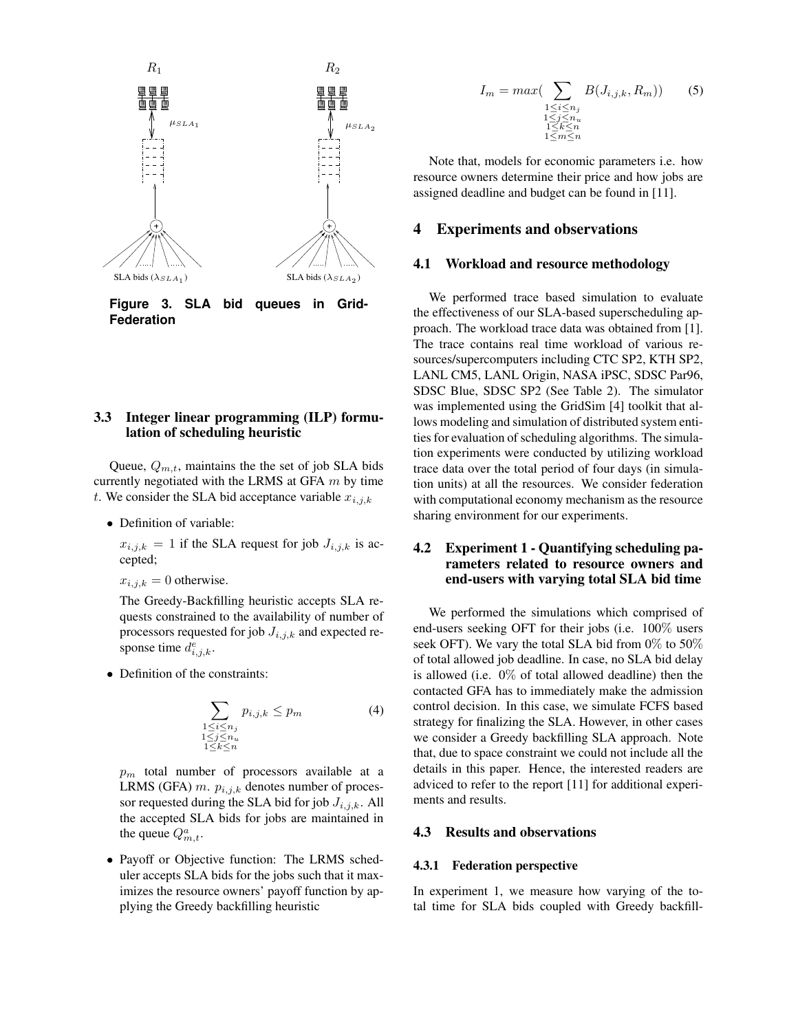

**Figure 3. SLA bid queues in Grid-Federation**

#### **3.3 Integer linear programming (ILP) formulation of scheduling heuristic**

Queue,  $Q_{m,t}$ , maintains the the set of job SLA bids currently negotiated with the LRMS at GFA  $m$  by time t. We consider the SLA bid acceptance variable  $x_{i,j,k}$ 

• Definition of variable:

 $x_{i,j,k} = 1$  if the SLA request for job  $J_{i,j,k}$  is accepted;

 $x_{i,j,k} = 0$  otherwise.

The Greedy-Backfilling heuristic accepts SLA requests constrained to the availability of number of processors requested for job  $J_{i,j,k}$  and expected response time  $d_{i,j,k}^e$ .

• Definition of the constraints:

$$
\sum_{\substack{1 \le i \le n_j \\ 1 \le j \le n_u \\ 1 \le k \le n}} p_{i,j,k} \le p_m \tag{4}
$$

 $p_m$  total number of processors available at a LRMS (GFA)  $m$ .  $p_{i,j,k}$  denotes number of processor requested during the SLA bid for job  $J_{i,j,k}$ . All the accepted SLA bids for jobs are maintained in the queue  $Q_{m,t}^a$ .

• Payoff or Objective function: The LRMS scheduler accepts SLA bids for the jobs such that it maximizes the resource owners' payoff function by applying the Greedy backfilling heuristic

$$
I_m = max\left(\sum_{\substack{1 \le i \le n_j \\ 1 \le j \le n_u \\ 1 \le k \le n \\ 1 \le m \le n}} B(J_{i,j,k}, R_m)\right) \tag{5}
$$

Note that, models for economic parameters i.e. how resource owners determine their price and how jobs are assigned deadline and budget can be found in [11].

### **4 Experiments and observations**

#### **4.1 Workload and resource methodology**

We performed trace based simulation to evaluate the effectiveness of our SLA-based superscheduling approach. The workload trace data was obtained from [1]. The trace contains real time workload of various resources/supercomputers including CTC SP2, KTH SP2, LANL CM5, LANL Origin, NASA iPSC, SDSC Par96, SDSC Blue, SDSC SP2 (See Table 2). The simulator was implemented using the GridSim [4] toolkit that allows modeling and simulation of distributed system entities for evaluation of scheduling algorithms. The simulation experiments were conducted by utilizing workload trace data over the total period of four days (in simulation units) at all the resources. We consider federation with computational economy mechanism as the resource sharing environment for our experiments.

### **4.2 Experiment 1 - Quantifying scheduling parameters related to resource owners and end-users with varying total SLA bid time**

We performed the simulations which comprised of end-users seeking OFT for their jobs (i.e. 100% users seek OFT). We vary the total SLA bid from 0% to 50% of total allowed job deadline. In case, no SLA bid delay is allowed (i.e.  $0\%$  of total allowed deadline) then the contacted GFA has to immediately make the admission control decision. In this case, we simulate FCFS based strategy for finalizing the SLA. However, in other cases we consider a Greedy backfilling SLA approach. Note that, due to space constraint we could not include all the details in this paper. Hence, the interested readers are adviced to refer to the report [11] for additional experiments and results.

#### **4.3 Results and observations**

#### **4.3.1 Federation perspective**

In experiment 1, we measure how varying of the total time for SLA bids coupled with Greedy backfill-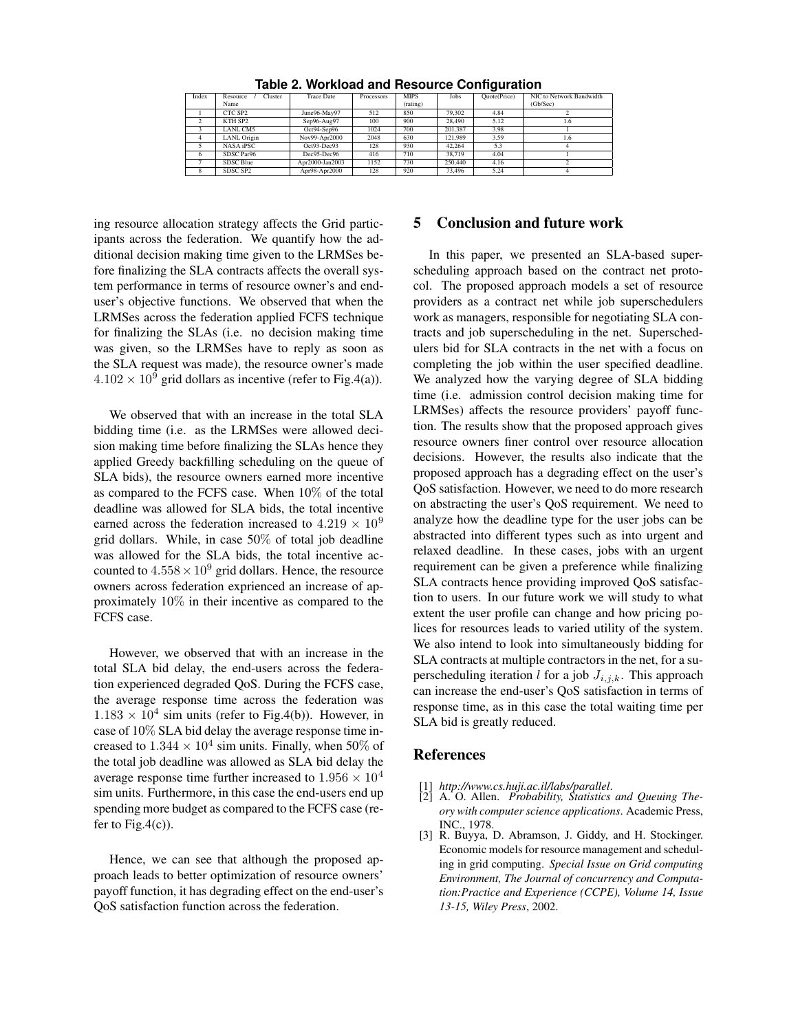|                     | <b>Trace Date</b>   |      |          | Jobs                      |      | NIC to Network Bandwidth |
|---------------------|---------------------|------|----------|---------------------------|------|--------------------------|
| Name                |                     |      | (rating) |                           |      | (Gb/Sec)                 |
| CTC SP <sub>2</sub> | June96-May97        | 512  | 850      | 79.302                    | 4.84 |                          |
| KTH SP <sub>2</sub> | Sep96-Aug97         | 100  | 900      | 28.490                    | 5.12 | LD.                      |
| LANL CM5            | Oct94-Sep96         | 1024 | 700      | 201.387                   | 3.98 |                          |
| LANL Origin         | Nov99-Apr2000       | 2048 | 630      | 121.989                   | 3.59 | 1.6                      |
| NASA iPSC           | Oct93-Dec93         | 128  | 930      | 42.264                    | 5.3  |                          |
| SDSC Par96          | Dec95-Dec96         | 416  | 710      | 38.719                    | 4.04 |                          |
| SDSC Blue           | Apr2000-Jan2003     | 1152 | 730      | 250,440                   | 4.16 |                          |
| SDSC SP2            | Apr98-Apr2000       | 128  | 920      | 73,496                    | 5.24 |                          |
|                     | Cluster<br>Resource |      |          | <b>MIPS</b><br>Processors |      | Quote(Price)             |

**Table 2. Workload and Resource Configuration**

ing resource allocation strategy affects the Grid participants across the federation. We quantify how the additional decision making time given to the LRMSes before finalizing the SLA contracts affects the overall system performance in terms of resource owner's and enduser's objective functions. We observed that when the LRMSes across the federation applied FCFS technique for finalizing the SLAs (i.e. no decision making time was given, so the LRMSes have to reply as soon as the SLA request was made), the resource owner's made  $4.102 \times 10^9$  grid dollars as incentive (refer to Fig.4(a)).

We observed that with an increase in the total SLA bidding time (i.e. as the LRMSes were allowed decision making time before finalizing the SLAs hence they applied Greedy backfilling scheduling on the queue of SLA bids), the resource owners earned more incentive as compared to the FCFS case. When 10% of the total deadline was allowed for SLA bids, the total incentive earned across the federation increased to  $4.219 \times 10^9$ grid dollars. While, in case 50% of total job deadline was allowed for the SLA bids, the total incentive accounted to  $4.558 \times 10^9$  grid dollars. Hence, the resource owners across federation exprienced an increase of approximately 10% in their incentive as compared to the FCFS case.

However, we observed that with an increase in the total SLA bid delay, the end-users across the federation experienced degraded QoS. During the FCFS case, the average response time across the federation was  $1.183 \times 10^4$  sim units (refer to Fig.4(b)). However, in case of 10% SLA bid delay the average response time increased to  $1.344 \times 10^4$  sim units. Finally, when 50% of the total job deadline was allowed as SLA bid delay the average response time further increased to  $1.956 \times 10^4$ sim units. Furthermore, in this case the end-users end up spending more budget as compared to the FCFS case (refer to Fig.4 $(c)$ ).

Hence, we can see that although the proposed approach leads to better optimization of resource owners' payoff function, it has degrading effect on the end-user's QoS satisfaction function across the federation.

### **5 Conclusion and future work**

In this paper, we presented an SLA-based superscheduling approach based on the contract net protocol. The proposed approach models a set of resource providers as a contract net while job superschedulers work as managers, responsible for negotiating SLA contracts and job superscheduling in the net. Superschedulers bid for SLA contracts in the net with a focus on completing the job within the user specified deadline. We analyzed how the varying degree of SLA bidding time (i.e. admission control decision making time for LRMSes) affects the resource providers' payoff function. The results show that the proposed approach gives resource owners finer control over resource allocation decisions. However, the results also indicate that the proposed approach has a degrading effect on the user's QoS satisfaction. However, we need to do more research on abstracting the user's QoS requirement. We need to analyze how the deadline type for the user jobs can be abstracted into different types such as into urgent and relaxed deadline. In these cases, jobs with an urgent requirement can be given a preference while finalizing SLA contracts hence providing improved QoS satisfaction to users. In our future work we will study to what extent the user profile can change and how pricing polices for resources leads to varied utility of the system. We also intend to look into simultaneously bidding for SLA contracts at multiple contractors in the net, for a superscheduling iteration l for a job  $J_{i,j,k}$ . This approach can increase the end-user's QoS satisfaction in terms of response time, as in this case the total waiting time per SLA bid is greatly reduced.

### **References**

- [1] *http://www.cs.huji.ac.il/labs/parallel*.
- [2] A. O. Allen. *Probability, Statistics and Queuing Theory with computer science applications*. Academic Press, INC., 1978.
- [3] R. Buyya, D. Abramson, J. Giddy, and H. Stockinger. Economic models for resource management and scheduling in grid computing. *Special Issue on Grid computing Environment, The Journal of concurrency and Computation:Practice and Experience (CCPE), Volume 14, Issue 13-15, Wiley Press*, 2002.